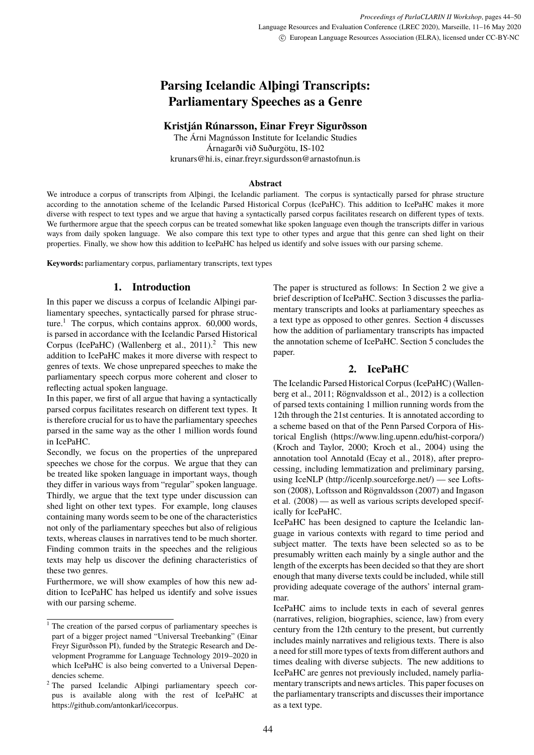# <span id="page-0-2"></span>**Parsing Icelandic Alþingi Transcripts: Parliamentary Speeches as a Genre**

# **Kristján Rúnarsson, Einar Freyr Sigurðsson**

The Árni Magnússon Institute for Icelandic Studies Árnagarði við Suðurgötu, IS-102 krunars@hi.is, einar.freyr.sigurdsson@arnastofnun.is

#### **Abstract**

We introduce a corpus of transcripts from Alþingi, the Icelandic parliament. The corpus is syntactically parsed for phrase structure according to the annotation scheme of the Icelandic Parsed Historical Corpus (IcePaHC). This addition to IcePaHC makes it more diverse with respect to text types and we argue that having a syntactically parsed corpus facilitates research on different types of texts. We furthermore argue that the speech corpus can be treated somewhat like spoken language even though the transcripts differ in various ways from daily spoken language. We also compare this text type to other types and argue that this genre can shed light on their properties. Finally, we show how this addition to IcePaHC has helped us identify and solve issues with our parsing scheme.

**Keywords:** parliamentary corpus, parliamentary transcripts, text types

# **1. Introduction**

In this paper we discuss a corpus of Icelandic Alþingi parliamentary speeches, syntactically parsed for phrase structure.<sup>1</sup> The corpus, which contains approx.  $60,000$  words, is parsed in accordance with the Icelandic Parsed Historical Corpus (IcePaHC) (Wallenberg et al.,  $2011$ ).<sup>2</sup> This new addition to IcePaHC makes it more diverse with respect to genres of texts. We chose unprepared speeches to make the parliamentary speech corpus more coherent and closer to reflecting actual spoken language.

In this paper, we first of all argue that having a syntactically parsed corpus facilitates research on different text types. It is therefore crucial for us to have the parliamentary speeches parsed in the same way as the other 1 million words found in IcePaHC.

Secondly, we focus on the properties of the unprepared speeches we chose for the corpus. We argue that they can be treated like spoken language in important ways, though they differ in various ways from "regular" spoken language. Thirdly, we argue that the text type under discussion can shed light on other text types. For example, long clauses containing many words seem to be one of the characteristics not only of the parliamentary speeches but also of religious texts, whereas clauses in narratives tend to be much shorter. Finding common traits in the speeches and the religious texts may help us discover the defining characteristics of these two genres.

Furthermore, we will show examples of how this new addition to IcePaHC has helped us identify and solve issues with our parsing scheme.

The paper is structured as follows: In Section [2](#page-0-0) we give a brief description of IcePaHC. Section [3](#page-0-1) discusses the parliamentary transcripts and looks at parliamentary speeches as a text type as opposed to other genres. Section [4](#page-3-0) discusses how the addition of parliamentary transcripts has impacted the annotation scheme of IcePaHC. Section [5](#page-5-0) concludes the paper.

# **2. IcePaHC**

<span id="page-0-0"></span>The Icelandic Parsed Historical Corpus (IcePaHC) (Wallenberg et al., 2011; Rögnvaldsson et al., 2012) is a collection of parsed texts containing 1 million running words from the 12th through the 21st centuries. It is annotated according to a scheme based on that of the Penn Parsed Corpora of Historical English [\(https://www.ling.upenn.edu/hist-corpora/\)](https://www.ling.upenn.edu/hist-corpora/) (Kroch and Taylor, 2000; Kroch et al., 2004) using the annotation tool Annotald (Ecay et al., 2018), after preprocessing, including lemmatization and preliminary parsing, using IceNLP [\(http://icenlp.sourceforge.net/\)](http://icenlp.sourceforge.net/) — see Loftsson (2008), Loftsson and Rögnvaldsson (2007) and Ingason et al. (2008) — as well as various scripts developed specifically for IcePaHC.

IcePaHC has been designed to capture the Icelandic language in various contexts with regard to time period and subject matter. The texts have been selected so as to be presumably written each mainly by a single author and the length of the excerpts has been decided so that they are short enough that many diverse texts could be included, while still providing adequate coverage of the authors' internal grammar.

<span id="page-0-1"></span>IcePaHC aims to include texts in each of several genres (narratives, religion, biographies, science, law) from every century from the 12th century to the present, but currently includes mainly narratives and religious texts. There is also a need for still more types of texts from different authors and times dealing with diverse subjects. The new additions to IcePaHC are genres not previously included, namely parliamentary transcripts and news articles. This paper focuses on the parliamentary transcripts and discusses their importance as a text type.

<sup>&</sup>lt;sup>1</sup> The creation of the parsed corpus of parliamentary speeches is part of a bigger project named "Universal Treebanking" (Einar Freyr Sigurðsson PI), funded by the Strategic Research and Development Programme for Language Technology 2019–2020 in which IcePaHC is also being converted to a Universal Dependencies scheme.

<sup>2</sup> The parsed Icelandic Alþingi parliamentary speech corpus is available along with the rest of IcePaHC at [https://github.com/antonkarl/icecorpus.](https://github.com/antonkarl/icecorpus)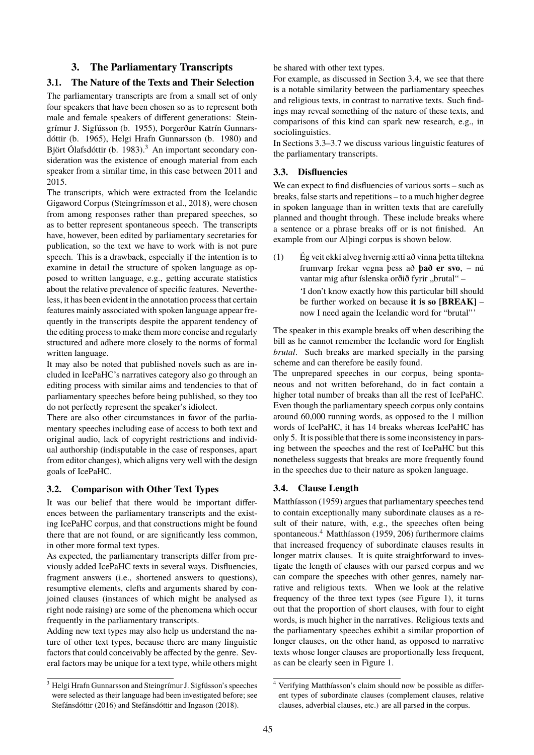# **3. The Parliamentary Transcripts**

## **3.1. The Nature of the Texts and Their Selection**

The parliamentary transcripts are from a small set of only four speakers that have been chosen so as to represent both male and female speakers of different generations: Steingrímur J. Sigfússon (b. 1955), Þorgerður Katrín Gunnarsdóttir (b. 1965), Helgi Hrafn Gunnarsson (b. 1980) and Björt Ólafsdóttir (b. 198[3](#page-0-2)).<sup>3</sup> An important secondary consideration was the existence of enough material from each speaker from a similar time, in this case between 2011 and 2015.

The transcripts, which were extracted from the Icelandic Gigaword Corpus (Steingrímsson et al., 2018), were chosen from among responses rather than prepared speeches, so as to better represent spontaneous speech. The transcripts have, however, been edited by parliamentary secretaries for publication, so the text we have to work with is not pure speech. This is a drawback, especially if the intention is to examine in detail the structure of spoken language as opposed to written language, e.g., getting accurate statistics about the relative prevalence of specific features. Nevertheless, it has been evident in the annotation process that certain features mainly associated with spoken language appear frequently in the transcripts despite the apparent tendency of the editing process to make them more concise and regularly structured and adhere more closely to the norms of formal written language.

It may also be noted that published novels such as are included in IcePaHC's narratives category also go through an editing process with similar aims and tendencies to that of parliamentary speeches before being published, so they too do not perfectly represent the speaker's idiolect.

There are also other circumstances in favor of the parliamentary speeches including ease of access to both text and original audio, lack of copyright restrictions and individual authorship (indisputable in the case of responses, apart from editor changes), which aligns very well with the design goals of IcePaHC.

## **3.2. Comparison with Other Text Types**

It was our belief that there would be important differences between the parliamentary transcripts and the existing IcePaHC corpus, and that constructions might be found there that are not found, or are significantly less common, in other more formal text types.

As expected, the parliamentary transcripts differ from previously added IcePaHC texts in several ways. Disfluencies, fragment answers (i.e., shortened answers to questions), resumptive elements, clefts and arguments shared by conjoined clauses (instances of which might be analysed as right node raising) are some of the phenomena which occur frequently in the parliamentary transcripts.

Adding new text types may also help us understand the nature of other text types, because there are many linguistic factors that could conceivably be affected by the genre. Several factors may be unique for a text type, while others might be shared with other text types.

For example, as discussed in Section [3.4,](#page-1-0) we see that there is a notable similarity between the parliamentary speeches and religious texts, in contrast to narrative texts. Such findings may reveal something of the nature of these texts, and comparisons of this kind can spark new research, e.g., in sociolinguistics.

In Sections [3.3–](#page-1-1)[3.7](#page-2-0) we discuss various linguistic features of the parliamentary transcripts.

#### <span id="page-1-1"></span>**3.3. Disfluencies**

We can expect to find disfluencies of various sorts – such as breaks, false starts and repetitions – to a much higher degree in spoken language than in written texts that are carefully planned and thought through. These include breaks where a sentence or a phrase breaks off or is not finished. An example from our Alþingi corpus is shown below.

(1) Ég veit ekki alveg hvernig ætti að vinna þetta tiltekna frumvarp frekar vegna þess að **það er svo**, – nú vantar mig aftur íslenska orðið fyrir "brutal" – 'I don't know exactly how this particular bill should be further worked on because **it is so [BREAK]** – now I need again the Icelandic word for "brutal" '

The speaker in this example breaks off when describing the bill as he cannot remember the Icelandic word for English *brutal*. Such breaks are marked specially in the parsing scheme and can therefore be easily found.

The unprepared speeches in our corpus, being spontaneous and not written beforehand, do in fact contain a higher total number of breaks than all the rest of IcePaHC. Even though the parliamentary speech corpus only contains around 60,000 running words, as opposed to the 1 million words of IcePaHC, it has 14 breaks whereas IcePaHC has only 5. It is possible that there is some inconsistency in parsing between the speeches and the rest of IcePaHC but this nonetheless suggests that breaks are more frequently found in the speeches due to their nature as spoken language.

## <span id="page-1-0"></span>**3.4. Clause Length**

[Matthíasson \(1959\)](#page-0-2) argues that parliamentary speeches tend to contain exceptionally many subordinate clauses as a result of their nature, with, e.g., the speeches often being spontaneous.<sup>[4](#page-0-2)</sup> [Matthíasson \(1959,](#page-0-2) 206) furthermore claims that increased frequency of subordinate clauses results in longer matrix clauses. It is quite straightforward to investigate the length of clauses with our parsed corpus and we can compare the speeches with other genres, namely narrative and religious texts. When we look at the relative frequency of the three text types (see Figure [1\)](#page-2-1), it turns out that the proportion of short clauses, with four to eight words, is much higher in the narratives. Religious texts and the parliamentary speeches exhibit a similar proportion of longer clauses, on the other hand, as opposed to narrative texts whose longer clauses are proportionally less frequent, as can be clearly seen in Figure [1.](#page-2-1)

<sup>&</sup>lt;sup>3</sup> Helgi Hrafn Gunnarsson and Steingrímur J. Sigfússon's speeches were selected as their language had been investigated before; see [Stefánsdóttir \(2016\)](#page-0-2) and [Stefánsdóttir and Ingason \(2018\)](#page-0-2).

<sup>&</sup>lt;sup>4</sup> Verifying Matthíasson's claim should now be possible as different types of subordinate clauses (complement clauses, relative clauses, adverbial clauses, etc.) are all parsed in the corpus.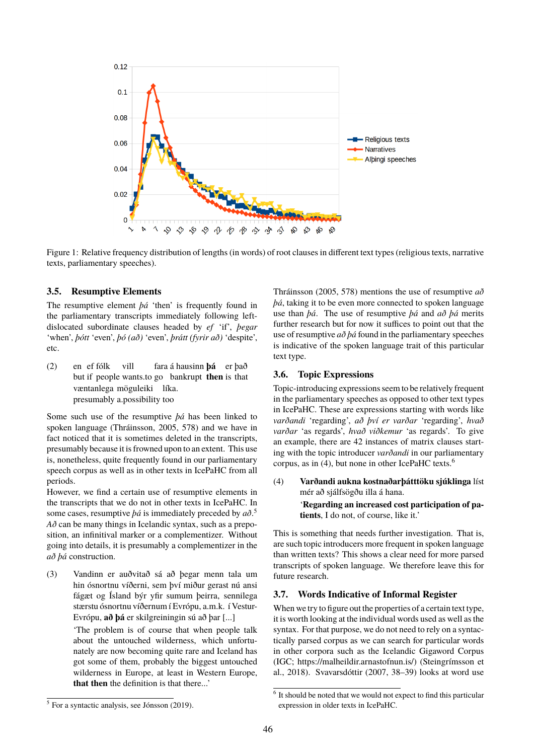

<span id="page-2-1"></span>Figure 1: Relative frequency distribution of lengths (in words) of root clauses in different text types (religious texts, narrative texts, parliamentary speeches).

#### **3.5. Resumptive Elements**

The resumptive element *þá* 'then' is frequently found in the parliamentary transcripts immediately following leftdislocated subordinate clauses headed by *ef* 'if', *þegar* 'when', *þótt* 'even', *þó (að)* 'even', *þrátt (fyrir að)* 'despite', etc.

 $(2)$ but if people wants.to go bankrupt **then** is that ef fólk vill fara á hausinn **þá** er það væntanlega möguleiki líka. presumably a.possibility too

Some such use of the resumptive *þá* has been linked to spoken language [\(Thráinsson, 2005,](#page-0-2) 578) and we have in fact noticed that it is sometimes deleted in the transcripts, presumably because it is frowned upon to an extent. This use is, nonetheless, quite frequently found in our parliamentary speech corpus as well as in other texts in IcePaHC from all periods.

However, we find a certain use of resumptive elements in the transcripts that we do not in other texts in IcePaHC. In some cases, resumptive *þá* is immediately preceded by *að*. [5](#page-0-2) *Að* can be many things in Icelandic syntax, such as a preposition, an infinitival marker or a complementizer. Without going into details, it is presumably a complementizer in the *að þá* construction.

(3) Vandinn er auðvitað sá að þegar menn tala um hin ósnortnu víðerni, sem því miður gerast nú ansi fágæt og Ísland býr yfir sumum þeirra, sennilega stærstu ósnortnu víðernum í Evrópu, a.m.k. í Vestur-Evrópu, **að þá** er skilgreiningin sú að þar [...]

> 'The problem is of course that when people talk about the untouched wilderness, which unfortunately are now becoming quite rare and Iceland has got some of them, probably the biggest untouched wilderness in Europe, at least in Western Europe, **that then** the definition is that there...'

[Thráinsson \(2005,](#page-0-2) 578) mentions the use of resumptive *að þá*, taking it to be even more connected to spoken language use than *þá*. The use of resumptive *þá* and *að þá* merits further research but for now it suffices to point out that the use of resumptive *að þá* found in the parliamentary speeches is indicative of the spoken language trait of this particular text type.

### **3.6. Topic Expressions**

Topic-introducing expressions seem to be relatively frequent in the parliamentary speeches as opposed to other text types in IcePaHC. These are expressions starting with words like *varðandi* 'regarding', *að því er varðar* 'regarding', *hvað varðar* 'as regards', *hvað viðkemur* 'as regards'. To give an example, there are 42 instances of matrix clauses starting with the topic introducer *varðandi* in our parliamentary corpus, as in [\(4\),](#page-2-2) but none in other IcePaHC texts.[6](#page-0-2)

<span id="page-2-2"></span>(4) **Varðandi aukna kostnaðarþátttöku sjúklinga** líst mér að sjálfsögðu illa á hana.

'**Regarding an increased cost participation of patients**, I do not, of course, like it.'

This is something that needs further investigation. That is, are such topic introducers more frequent in spoken language than written texts? This shows a clear need for more parsed transcripts of spoken language. We therefore leave this for future research.

#### <span id="page-2-0"></span>**3.7. Words Indicative of Informal Register**

When we try to figure out the properties of a certain text type, it is worth looking at the individual words used as well as the syntax. For that purpose, we do not need to rely on a syntactically parsed corpus as we can search for particular words in other corpora such as the Icelandic Gigaword Corpus (IGC; [https://malheildir.arnastofnun.is/\)](https://malheildir.arnastofnun.is/) (Steingrímsson et al., 2018). [Svavarsdóttir \(2007,](#page-0-2) 38–39) looks at word use

<sup>&</sup>lt;sup>5</sup> For a syntactic analysis, see [Jónsson \(2019\)](#page-0-2).

<sup>&</sup>lt;sup>6</sup> It should be noted that we would not expect to find this particular expression in older texts in IcePaHC.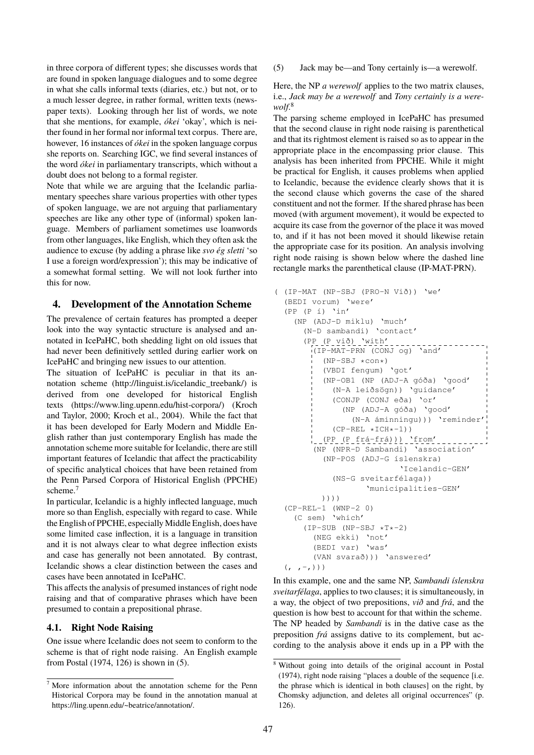in three corpora of different types; she discusses words that are found in spoken language dialogues and to some degree in what she calls informal texts (diaries, etc.) but not, or to a much lesser degree, in rather formal, written texts (newspaper texts). Looking through her list of words, we note that she mentions, for example, *ókei* 'okay', which is neither found in her formal nor informal text corpus. There are, however, 16 instances of *ókei* in the spoken language corpus she reports on. Searching IGC, we find several instances of the word *ókei* in parliamentary transcripts, which without a doubt does not belong to a formal register.

Note that while we are arguing that the Icelandic parliamentary speeches share various properties with other types of spoken language, we are not arguing that parliamentary speeches are like any other type of (informal) spoken language. Members of parliament sometimes use loanwords from other languages, like English, which they often ask the audience to excuse (by adding a phrase like *svo ég sletti* 'so I use a foreign word/expression'); this may be indicative of a somewhat formal setting. We will not look further into this for now.

## <span id="page-3-0"></span>**4. Development of the Annotation Scheme**

The prevalence of certain features has prompted a deeper look into the way syntactic structure is analysed and annotated in IcePaHC, both shedding light on old issues that had never been definitively settled during earlier work on IcePaHC and bringing new issues to our attention.

The situation of IcePaHC is peculiar in that its annotation scheme [\(http://linguist.is/icelandic\\_treebank/\)](http://linguist.is/icelandic_treebank/) is derived from one developed for historical English texts [\(https://www.ling.upenn.edu/hist-corpora/\)](https://www.ling.upenn.edu/hist-corpora/) (Kroch and Taylor, 2000; Kroch et al., 2004). While the fact that it has been developed for Early Modern and Middle English rather than just contemporary English has made the annotation scheme more suitable for Icelandic, there are still important features of Icelandic that affect the practicability of specific analytical choices that have been retained from the Penn Parsed Corpora of Historical English (PPCHE) scheme.<sup>[7](#page-0-2)</sup>

In particular, Icelandic is a highly inflected language, much more so than English, especially with regard to case. While the English of PPCHE, especially Middle English, does have some limited case inflection, it is a language in transition and it is not always clear to what degree inflection exists and case has generally not been annotated. By contrast, Icelandic shows a clear distinction between the cases and cases have been annotated in IcePaHC.

This affects the analysis of presumed instances of right node raising and that of comparative phrases which have been presumed to contain a prepositional phrase.

#### **4.1. Right Node Raising**

One issue where Icelandic does not seem to conform to the scheme is that of right node raising. An English example from [Postal \(1974,](#page-0-2) 126) is shown in [\(5\).](#page-3-1)

(5) Jack may be—and Tony certainly is—a werewolf.

Here, the NP *a werewolf* applies to the two matrix clauses, i.e., *Jack may be a werewolf* and *Tony certainly is a werewolf*. [8](#page-0-2)

The parsing scheme employed in IcePaHC has presumed that the second clause in right node raising is parenthetical and that its rightmost element is raised so as to appear in the appropriate place in the encompassing prior clause. This analysis has been inherited from PPCHE. While it might be practical for English, it causes problems when applied to Icelandic, because the evidence clearly shows that it is the second clause which governs the case of the shared constituent and not the former. If the shared phrase has been moved (with argument movement), it would be expected to acquire its case from the governor of the place it was moved to, and if it has not been moved it should likewise retain the appropriate case for its position. An analysis involving right node raising is shown below where the dashed line rectangle marks the parenthetical clause (IP-MAT-PRN).

```
( (IP-MAT (NP-SBJ (PRO-N Við)) 'we'
 (BEDI vorum) 'were'
 (PP (P i) 'in'(NP (ADJ-D miklu) 'much'
     (N-D sambandi) 'contact'
      (PP (P við) 'with'
       I = \frac{1}{1} (IP-MAT-PRN (CONJ og) \text{and}(NP-SBJ *con*)(VBDI fengum) 'got'
          (NP-OB1 (NP (ADJ-A góða) 'good'
            (N-A leiðsögn)) 'guidance'
             (CONJP (CONJ eða) 'or'
               (NP (ADJ-A góða) 'good'
                 (N-A áminningu))) 'reminder'
             (CP-REL *ICH*-1))(PP (P frá-frá))) 'from'
        (NP (NPR-D Sambandi) 'association'
          (NP-POS (ADJ-G íslenskra)
                             'Icelandic-GEN'
             (NS-G sveitarfélaga))
                     'municipalities-GEN'
          ))))
 (CP-REL-1 (WNP-2 0)
   (C sem) 'which'
      (IP-SUB (NP-SBJ *T*-2)(NEG ekki) 'not'
        (BEDI var) 'was'
        (VAN svarað))) 'answered'
 \left( \begin{array}{cc} 0 & -i \\ 0 & 1 \end{array} \right)
```
In this example, one and the same NP, *Sambandi íslenskra sveitarfélaga*, applies to two clauses; it is simultaneously, in a way, the object of two prepositions, *við* and *frá*, and the question is how best to account for that within the scheme. The NP headed by *Sambandi* is in the dative case as the preposition *frá* assigns dative to its complement, but according to the analysis above it ends up in a PP with the

<span id="page-3-1"></span><sup>7</sup> More information about the annotation scheme for the Penn Historical Corpora may be found in the annotation manual at [https://ling.upenn.edu/~beatrice/annotation/.](https://ling.upenn.edu/~beatrice/annotation/)

<sup>8</sup> Without going into details of the original account in [Postal](#page-0-2) [\(1974\)](#page-0-2), right node raising "places a double of the sequence [i.e. the phrase which is identical in both clauses] on the right, by Chomsky adjunction, and deletes all original occurrences" (p. 126).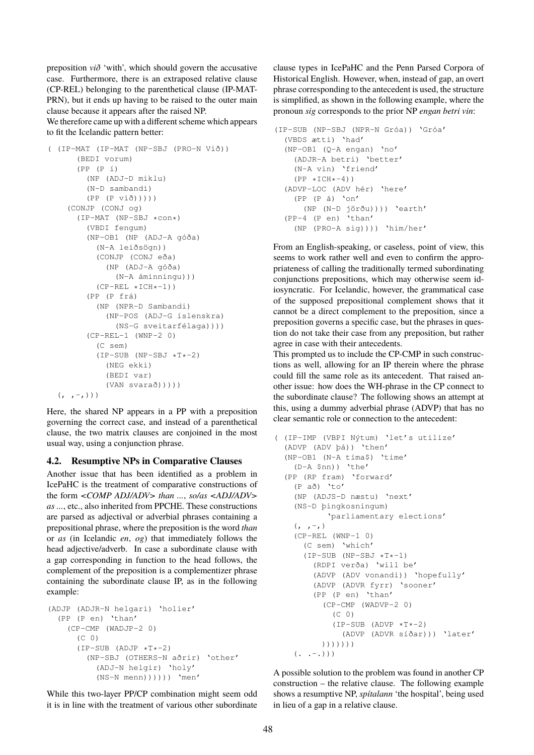preposition *við* 'with', which should govern the accusative case. Furthermore, there is an extraposed relative clause (CP-REL) belonging to the parenthetical clause (IP-MAT-PRN), but it ends up having to be raised to the outer main clause because it appears after the raised NP.

We therefore came up with a different scheme which appears to fit the Icelandic pattern better:

```
( (IP-MAT (IP-MAT (NP-SBJ (PRO-N Við))
     (BEDI vorum)
     (PP (P í)
       (NP (ADJ-D miklu)
       (N-D sambandi)
       (PP (P við)))))
   (CONJP (CONJ og)
     (IP-MAT (NP-SBJ *con*)
       (VBDI fengum)
       (NP-OB1 (NP (ADJ-A góða)
         (N-A leiðsögn))
         (CONJP (CONJ eða)
            (NP (ADJ-A góða)
             (N-A áminningu)))
         (CP-REL *ICH*-1))(PP (P frá)
         (NP (NPR-D Sambandi)
           (NP-POS (ADJ-G íslenskra)
             (NS-G sveitarfélaga))))
       (CP-REL-1 (WNP-2 0)
         (C sem)
         (IP-SUB (NP-SBJ *T*-2)(NEG ekki)
           (BEDI var)
           (VAN svarað)))))
 ( , , - , ) )
```
Here, the shared NP appears in a PP with a preposition governing the correct case, and instead of a parenthetical clause, the two matrix clauses are conjoined in the most usual way, using a conjunction phrase.

#### **4.2. Resumptive NPs in Comparative Clauses**

Another issue that has been identified as a problem in IcePaHC is the treatment of comparative constructions of the form *<COMP ADJ/ADV> than ...*, *so/as <ADJ/ADV> as ...*, etc., also inherited from PPCHE. These constructions are parsed as adjectival or adverbial phrases containing a prepositional phrase, where the preposition is the word *than* or *as* (in Icelandic *en*, *og*) that immediately follows the head adjective/adverb. In case a subordinate clause with a gap corresponding in function to the head follows, the complement of the preposition is a complementizer phrase containing the subordinate clause IP, as in the following example:

```
(ADJP (ADJR-N helgari) 'holier'
 (PP (P en) 'than'
   (CP-CMP (WADJP-2 0)
     (C \cap \mathcal{O})(IP-SUB (ADJP *T*-2))(NP-SBJ (OTHERS-N aðrir) 'other'
          (ADJ-N helgir) 'holy'
          (NS-N menn)))))) 'men'
```
While this two-layer PP/CP combination might seem odd it is in line with the treatment of various other subordinate clause types in IcePaHC and the Penn Parsed Corpora of Historical English. However, when, instead of gap, an overt phrase corresponding to the antecedent is used, the structure is simplified, as shown in the following example, where the pronoun *sig* corresponds to the prior NP *engan betri vin*:

```
(IP-SUB (NP-SBJ (NPR-N Gróa)) 'Gróa'
(VBDS ætti) 'had'
 (NP-OB1 (Q-A engan) 'no'
   (ADJR-A betri) 'better'
   (N-A vin) 'friend'
   (PP * ICH*-4))
 (ADVP-LOC (ADV hér) 'here'
   (PP (P á) 'on'
    (NP (N-D jörðu)))) 'earth'
 (PP-4 (P en) 'than'
   (NP (PRO-A sig)))) 'him/her'
```
From an English-speaking, or caseless, point of view, this seems to work rather well and even to confirm the appropriateness of calling the traditionally termed subordinating conjunctions prepositions, which may otherwise seem idiosyncratic. For Icelandic, however, the grammatical case of the supposed prepositional complement shows that it cannot be a direct complement to the preposition, since a preposition governs a specific case, but the phrases in question do not take their case from any preposition, but rather agree in case with their antecedents.

This prompted us to include the CP-CMP in such constructions as well, allowing for an IP therein where the phrase could fill the same role as its antecedent. That raised another issue: how does the WH-phrase in the CP connect to the subordinate clause? The following shows an attempt at this, using a dummy adverbial phrase (ADVP) that has no clear semantic role or connection to the antecedent:

```
( (IP-IMP (VBPI Nýtum) 'let's utilize'
 (ADVP (ADV þá)) 'then'
 (NP-OB1 (N-A tíma$) 'time'
   (D-A $nn)) 'the'
 (PP (RP fram) 'forward'
   (P að) 'to'
   (NP (ADJS-D næstu) 'next'
   (NS-D þingkosningum)
          'parliamentary elections'
   (, ,-)(CP-REL (WNP-1 0)(C sem) 'which'
     (IP-SUB (NP-SBJ *T*-1))(RDPI verða) 'will be'
       (ADVP (ADV vonandi)) 'hopefully'
       (ADVP (ADVR fyrr) 'sooner'
       (PP (P en) 'than'
         (CP-CMP (WADVP-2 0)
           (C 0)
           (IP-SUB (ADVP *T*-2))(ADVP (ADVR síðar))) 'later'
         )))))))
   ( . . - . ) )
```
A possible solution to the problem was found in another CP construction – the relative clause. The following example shows a resumptive NP, *spítalann* 'the hospital', being used in lieu of a gap in a relative clause.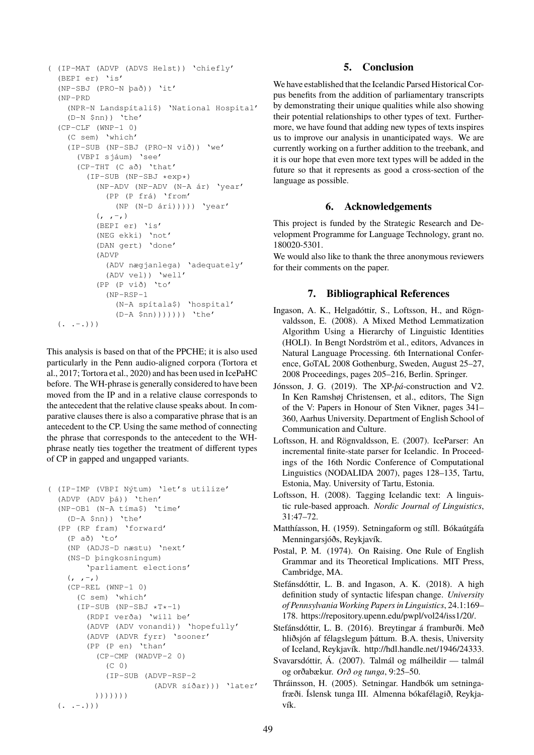```
( (IP-MAT (ADVP (ADVS Helst)) 'chiefly'
 (BEPI er) 'is'
 (NP-SBJ (PRO-N það)) 'it'
 (NP-PRD
   (NPR-N Landspítali$) 'National Hospital'
   (D-N \; \sinh) 'the'
 (CP-CLF (WNP-1 0)(C sem) 'which'
   (IP-SUB (NP-SBJ (PRO-N við)) 'we'
     (VBPI sjáum) 'see'
     (CP-THT (C að) 'that'
       (IP-SUB (NP-SBJ *exp*)
         (NP-ADV (NP-ADV (N-A ár) 'year'
           (PP (P frá) 'from'
              (NP (N-D ári))))) 'year'
         (r, -1)(BEPI er) 'is'
         (NEG ekki) 'not'
         (DAN gert) 'done'
         (ADVP
           (ADV nægjanlega) 'adequately'
           (ADV vel)) 'well'
         (PP (P við) 'to'
           (NP-RSP-1
              (N-A spítala$) 'hospital'
              (D-A $nn))))))) 'the'
 ( . . - . ) )
```
This analysis is based on that of the PPCHE; it is also used particularly in the Penn audio-aligned corpora (Tortora et al., 2017; Tortora et al., 2020) and has been used in IcePaHC before. The WH-phrase is generally considered to have been moved from the IP and in a relative clause corresponds to the antecedent that the relative clause speaks about. In comparative clauses there is also a comparative phrase that is an antecedent to the CP. Using the same method of connecting the phrase that corresponds to the antecedent to the WHphrase neatly ties together the treatment of different types of CP in gapped and ungapped variants.

```
( (IP-IMP (VBPI Nýtum) 'let's utilize'
 (ADVP (ADV þá)) 'then'
 (NP-OB1 (N-A tíma$) 'time'
   (D-A \; \sinh) 'the'
 (PP (RP fram) 'forward'
   (P að) 'to'
   (NP (ADJS-D næstu) 'next'
   (NS-D þingkosningum)
       'parliament elections'
   (, , -, )(CP-REL (WNP-1 0)
     (C sem) 'which'
     (IP-SUB (NP-SBJ *T*-1))(RDPI verða) 'will be'
       (ADVP (ADV vonandi)) 'hopefully'
       (ADVP (ADVR fyrr) 'sooner'
       (PP (P en) 'than'
         (CP-CMP (WADVP-2 0)
           (C 0)
           (IP-SUB (ADVP-RSP-2
                      (ADVR síðar))) 'later'
         )))))))
 ( . . - . ) )
```
# **5. Conclusion**

We have established that the Icelandic Parsed Historical Corpus benefits from the addition of parliamentary transcripts by demonstrating their unique qualities while also showing their potential relationships to other types of text. Furthermore, we have found that adding new types of texts inspires us to improve our analysis in unanticipated ways. We are currently working on a further addition to the treebank, and it is our hope that even more text types will be added in the future so that it represents as good a cross-section of the language as possible.

## **6. Acknowledgements**

This project is funded by the Strategic Research and Development Programme for Language Technology, grant no. 180020-5301.

We would also like to thank the three anonymous reviewers for their comments on the paper.

# **7. Bibliographical References**

- Ingason, A. K., Helgadóttir, S., Loftsson, H., and Rögnvaldsson, E. (2008). A Mixed Method Lemmatization Algorithm Using a Hierarchy of Linguistic Identities (HOLI). In Bengt Nordström et al., editors, Advances in Natural Language Processing. 6th International Conference, GoTAL 2008 Gothenburg, Sweden, August 25–27, 2008 Proceedings, pages 205–216, Berlin. Springer.
- Jónsson, J. G. (2019). The XP-*þá*-construction and V2. In Ken Ramshøj Christensen, et al., editors, The Sign of the V: Papers in Honour of Sten Vikner, pages 341– 360, Aarhus University. Department of English School of Communication and Culture.
- Loftsson, H. and Rögnvaldsson, E. (2007). IceParser: An incremental finite-state parser for Icelandic. In Proceedings of the 16th Nordic Conference of Computational Linguistics (NODALIDA 2007), pages 128–135, Tartu, Estonia, May. University of Tartu, Estonia.
- Loftsson, H. (2008). Tagging Icelandic text: A linguistic rule-based approach. *Nordic Journal of Linguistics*, 31:47–72.
- Matthíasson, H. (1959). Setningaform og stíll. Bókaútgáfa Menningarsjóðs, Reykjavík.
- Postal, P. M. (1974). On Raising. One Rule of English Grammar and its Theoretical Implications. MIT Press, Cambridge, MA.
- Stefánsdóttir, L. B. and Ingason, A. K. (2018). A high definition study of syntactic lifespan change. *University of Pennsylvania Working Papers in Linguistics*, 24.1:169– 178. [https://repository.upenn.edu/pwpl/vol24/iss1/20/.](https://repository.upenn.edu/pwpl/vol24/iss1/20/)
- Stefánsdóttir, L. B. (2016). Breytingar á framburði. Með hliðsjón af félagslegum þáttum. B.A. thesis, University of Iceland, Reykjavík. [http://hdl.handle.net/1946/24333.]( http://hdl.handle.net/1946/24333)
- Svavarsdóttir, Á. (2007). Talmál og málheildir talmál og orðabækur. *Orð og tunga*, 9:25–50.
- <span id="page-5-0"></span>Thráinsson, H. (2005). Setningar. Handbók um setningafræði. Íslensk tunga III. Almenna bókafélagið, Reykjavík.